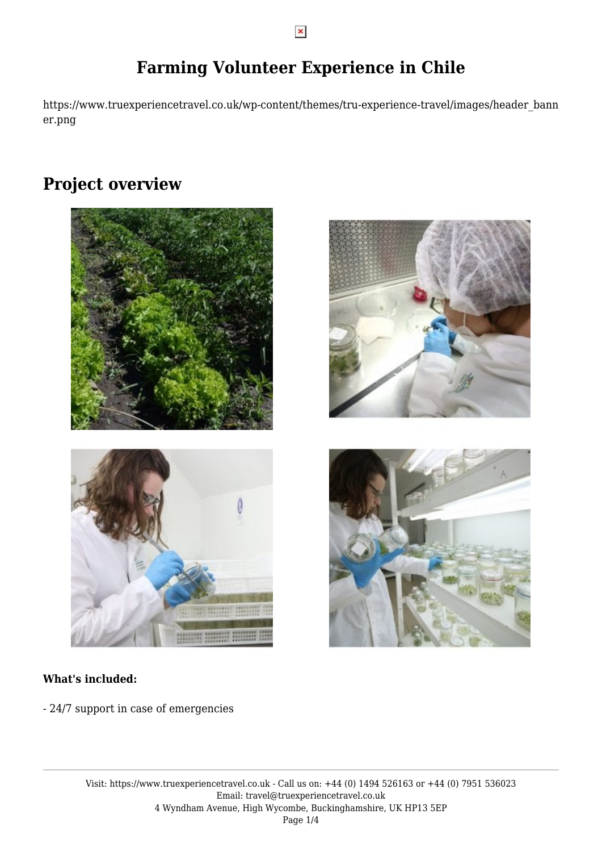# **Farming Volunteer Experience in Chile**

https://www.truexperiencetravel.co.uk/wp-content/themes/tru-experience-travel/images/header\_bann er.png

# **Project overview**









#### **What's included:**

- 24/7 support in case of emergencies

 $\pmb{\times}$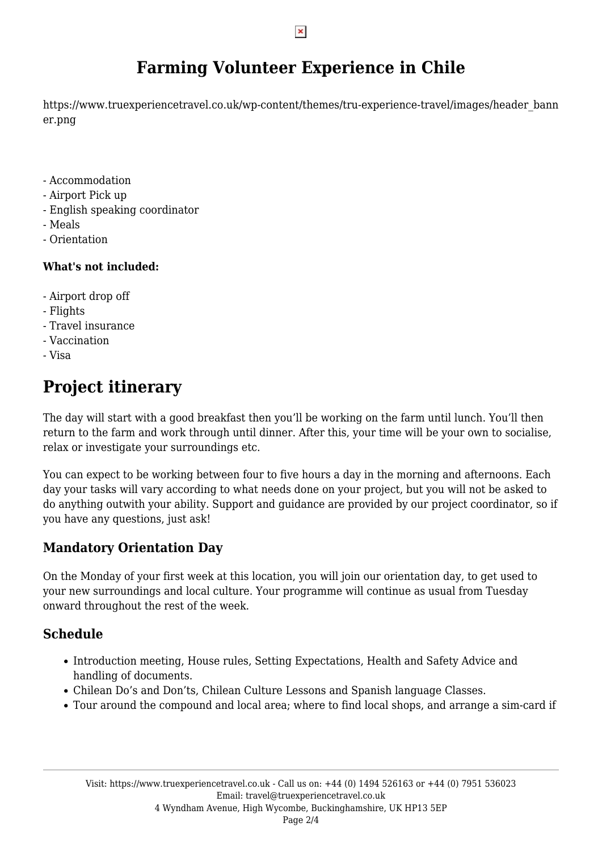#### $\pmb{\times}$

# **Farming Volunteer Experience in Chile**

https://www.truexperiencetravel.co.uk/wp-content/themes/tru-experience-travel/images/header\_bann er.png

- Accommodation
- Airport Pick up
- English speaking coordinator
- Meals
- Orientation

#### **What's not included:**

- Airport drop off
- Flights
- Travel insurance
- Vaccination
- Visa

# **Project itinerary**

The day will start with a good breakfast then you'll be working on the farm until lunch. You'll then return to the farm and work through until dinner. After this, your time will be your own to socialise, relax or investigate your surroundings etc.

You can expect to be working between four to five hours a day in the morning and afternoons. Each day your tasks will vary according to what needs done on your project, but you will not be asked to do anything outwith your ability. Support and guidance are provided by our project coordinator, so if you have any questions, just ask!

## **Mandatory Orientation Day**

On the Monday of your first week at this location, you will join our orientation day, to get used to your new surroundings and local culture. Your programme will continue as usual from Tuesday onward throughout the rest of the week.

## **Schedule**

- Introduction meeting, House rules, Setting Expectations, Health and Safety Advice and handling of documents.
- Chilean Do's and Don'ts, Chilean Culture Lessons and Spanish language Classes.
- Tour around the compound and local area; where to find local shops, and arrange a sim-card if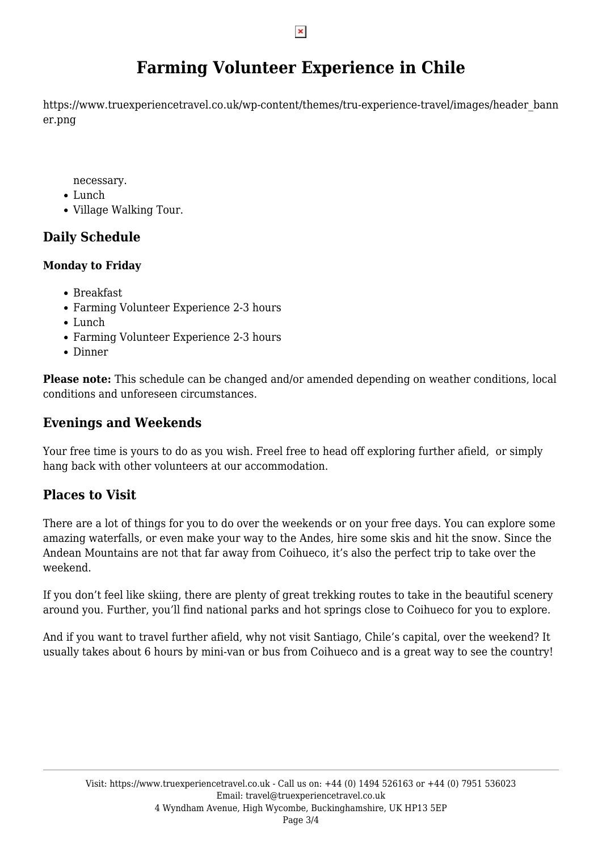#### $\pmb{\times}$

# **Farming Volunteer Experience in Chile**

https://www.truexperiencetravel.co.uk/wp-content/themes/tru-experience-travel/images/header\_bann er.png

necessary.

- Lunch
- Village Walking Tour.

## **Daily Schedule**

### **Monday to Friday**

- Breakfast
- Farming Volunteer Experience 2-3 hours
- Lunch
- Farming Volunteer Experience 2-3 hours
- Dinner

**Please note:** This schedule can be changed and/or amended depending on weather conditions, local conditions and unforeseen circumstances.

### **Evenings and Weekends**

Your free time is yours to do as you wish. Freel free to head off exploring further afield, or simply hang back with other volunteers at our accommodation.

## **Places to Visit**

There are a lot of things for you to do over the weekends or on your free days. You can explore some amazing waterfalls, or even make your way to the Andes, hire some skis and hit the snow. Since the Andean Mountains are not that far away from Coihueco, it's also the perfect trip to take over the weekend.

If you don't feel like skiing, there are plenty of great trekking routes to take in the beautiful scenery around you. Further, you'll find national parks and hot springs close to Coihueco for you to explore.

And if you want to travel further afield, why not visit Santiago, Chile's capital, over the weekend? It usually takes about 6 hours by mini-van or bus from Coihueco and is a great way to see the country!